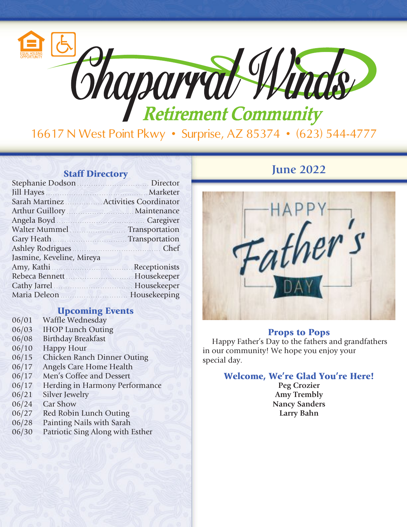

| Arthur Guillory Maintenance                                                   |  |
|-------------------------------------------------------------------------------|--|
| Angela Boyd Caregiver                                                         |  |
| Walter Mummel <b>Market Strategier Mummel</b> Transportation                  |  |
| Gary Heath <b>Carry Heath Carry Heath Carry Heath Carry Heath Carry Heath</b> |  |
| Ashley Rodrigues                                                              |  |
| Jasmine, Keveline, Mireya                                                     |  |
|                                                                               |  |
| Rebeca Bennett Manual Musekeeper                                              |  |
| Cathy Jarrel Housekeeper                                                      |  |
| Maria Deleon Maria Deleon Maria Beleng Housekeeping                           |  |
|                                                                               |  |

## Upcoming Events

- 06/01 Waffle Wednesday 06/03 IHOP Lunch Outing
- 
- 06/08 Birthday Breakfast
- 06/10 Happy Hour
- 06/15 Chicken Ranch Dinner Outing
- 06/17 Angels Care Home Health
- 06/17 Men's Coffee and Dessert
- 06/17 Herding in Harmony Performance
- 06/21 Silver Jewelry
- 06/24 Car Show
- 06/27 Red Robin Lunch Outing
- 06/28 Painting Nails with Sarah
- 06/30 Patriotic Sing Along with Esther

## **Staff Directory June 2022**



### Props to Pops

Happy Father's Day to the fathers and grandfathers in our community! We hope you enjoy your special day.

## Welcome, We're Glad You're Here!

**Peg Crozier Amy Trembly Nancy Sanders Larry Bahn**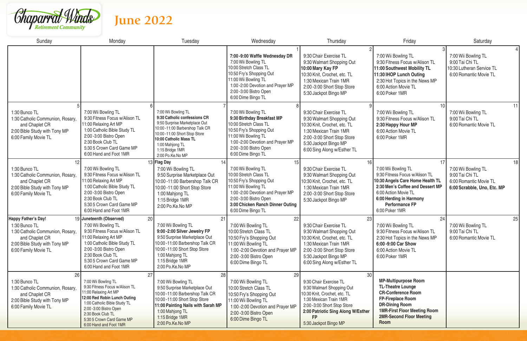

| Sunday                                                                                                                                                     | Monday                                                                                                                                                                                                                                                      | Tuesday                                                                                                                                                                                                                                      | Wednesday                                                                                                                                                                                                                        | Thursday                                                                                                                                                                                                                 | Friday                                                                                                                                                                                                                      | Saturday                                                                                              |
|------------------------------------------------------------------------------------------------------------------------------------------------------------|-------------------------------------------------------------------------------------------------------------------------------------------------------------------------------------------------------------------------------------------------------------|----------------------------------------------------------------------------------------------------------------------------------------------------------------------------------------------------------------------------------------------|----------------------------------------------------------------------------------------------------------------------------------------------------------------------------------------------------------------------------------|--------------------------------------------------------------------------------------------------------------------------------------------------------------------------------------------------------------------------|-----------------------------------------------------------------------------------------------------------------------------------------------------------------------------------------------------------------------------|-------------------------------------------------------------------------------------------------------|
|                                                                                                                                                            |                                                                                                                                                                                                                                                             |                                                                                                                                                                                                                                              | 7:00 -9:00 Waffle Wednesday DR<br>7:00 Wii Bowling TL<br>10:00 Stretch Class TL<br>10:50 Fry's Shopping Out<br>11:00 Wii Bowling TL<br>1:00 -2:00 Devotion and Prayer MP<br>2:00 - 3:00 Bistro Open<br>6:00 Dime Bingo TL        | 9:30 Chair Exercise TL<br>9:30 Walmart Shopping Out<br>10:00 Mary Kay FP<br>10:30 Knit, Crochet, etc. TL<br>1:30 Mexican Train 1MR<br>2:00 -3:00 Short Stop Store<br>5:30 Jackpot Bingo MP                               | 7:00 Wii Bowling TL<br>9:30 Fitness Focus w/Alison TL<br>11:00 Southwest Mobility TL<br>11:30 IHOP Lunch Outing<br>2:30 Hot Topics in the News MP<br>6:00 Action Movie TL<br>6:00 Poker 1MR                                 | 7:00 Wii Bowling TL<br>9:00 Tai Chi TL<br>10:30 Lutheran Service TL<br>6:00 Romantic Movie TL         |
| 1:30 Bunco TL<br>1:30 Catholic Communion, Rosary,<br>and Chaplet CR<br>2:00 Bible Study with Tony MP<br>6:00 Family Movie TL                               | 7:00 Wii Bowling TL<br>9:30 Fitness Focus w/Alison TL<br>11:00 Relaxing Art MP<br>1:00 Catholic Bible Study TL<br>2:00 -3:00 Bistro Open<br>2:30 Book Club TL<br>5:30 5 Crown Card Game MP<br>6:00 Hand and Foot 1MR                                        | 7:00 Wii Bowling TL<br>9:30 Catholic confessions CR<br>9:50 Surprise Marketplace Out<br>10:00 -11:00 Barbershop Talk CR<br>10:00 -11:00 Short Stop Store<br>10:00 Catholic Mass TL<br>1:00 Mahjong TL<br>1:15 Bridge 1MR<br>2:00 Po.Ke.No MP | 7:00 Wii Bowling TL<br>9:30 Birthday Breakfast MP<br>10:00 Stretch Class TL<br>10:50 Fry's Shopping Out<br>11:00 Wii Bowling TL<br>1:00 -2:00 Devotion and Prayer MP<br>2:00 - 3:00 Bistro Open<br>6:00 Dime Bingo TL            | 9:30 Chair Exercise TL<br>9:30 Walmart Shopping Out<br>10:30 Knit, Crochet, etc. TL<br>1:30 Mexican Train 1MR<br>2:00 -3:00 Short Stop Store<br>5:30 Jackpot Bingo MP<br>6:00 Sing Along w/Esther TL                     | 7:00 Wii Bowling TL<br>9:30 Fitness Focus w/Alison TL<br>2:30 Happy Hour MP<br>6:00 Action Movie TL<br>6:00 Poker 1MR                                                                                                       | 11<br>7:00 Wii Bowling TL<br>9:00 Tai Chi TL<br>6:00 Romantic Movie TL                                |
| 1:30 Bunco TL<br>1:30 Catholic Communion, Rosary,<br>and Chaplet CR<br>2:00 Bible Study with Tony MP<br>6:00 Family Movie TL                               | 7:00 Wii Bowling TL<br>9:30 Fitness Focus w/Alison TL<br>11:00 Relaxing Art MP<br>1:00 Catholic Bible Study TL<br>2:00 - 3:00 Bistro Open<br>2:30 Book Club TL<br>5:30 5 Crown Card Game MP<br>6:00 Hand and Foot 1MR                                       | 13 Flag Day<br>7:00 Wii Bowling TL<br>9:50 Surprise Marketplace Out<br>10:00 -11:00 Barbershop Talk CR<br>10:00 -11:00 Short Stop Store<br>1:00 Mahjong TL<br>1:15 Bridge 1MR<br>2:00 Po.Ke.No MP                                            | 15<br>7:00 Wii Bowling TL<br>10:00 Stretch Class TL<br>10:50 Fry's Shopping Out<br>11:00 Wii Bowling TL<br>1:00 -2:00 Devotion and Prayer MP<br>2:00 -3:00 Bistro Open<br>3:00 Chicken Ranch Dinner Outing<br>6:00 Dime Bingo TL | 9:30 Chair Exercise TL<br>9:30 Walmart Shopping Out<br>10:30 Knit, Crochet, etc. TL<br>1:30 Mexican Train 1MR<br>2:00 -3:00 Short Stop Store<br>5:30 Jackpot Bingo MP                                                    | 7:00 Wii Bowling TL<br>9:30 Fitness Focus w/Alison TL<br>10:30 Angels Care Home Health TL<br>2:30 Men's Coffee and Dessert MP<br>6:00 Action Movie TL<br>6:00 Herding in Harmony<br><b>Performance FP</b><br>6:00 Poker 1MR | 18<br>7:00 Wii Bowling TL<br>9:00 Tai Chi TL<br>6:00 Romantic Movie TL<br>6:00 Scrabble, Uno, Etc. MP |
| <b>Happy Father's Day!</b><br>1:30 Bunco TL<br>1:30 Catholic Communion, Rosary,<br>and Chaplet CR<br>2:00 Bible Study with Tony MP<br>6:00 Family Movie TL | 19 Juneteenth (Observed)<br>20<br>7:00 Wii Bowling TL<br>9:30 Fitness Focus w/Alison TL<br>11:00 Relaxing Art MP<br>1:00 Catholic Bible Study TL<br>2:00 -3:00 Bistro Open<br>2:30 Book Club TL<br>5:30 5 Crown Card Game MP<br>6:00 Hand and Foot 1MR      | 7:00 Wii Bowling TL<br>9:00 -2:00 Silver Jewelry FP<br>9:50 Surprise Marketplace Out<br>10:00 -11:00 Barbershop Talk CR<br>10:00 -11:00 Short Stop Store<br>1:00 Mahjong TL<br>1:15 Bridge 1MR<br>2:00 Po.Ke.No MP                           | 22<br>7:00 Wii Bowling TL<br>10:00 Stretch Class TL<br>10:50 Fry's Shopping Out<br>11:00 Wii Bowling TL<br>1:00 -2:00 Devotion and Prayer MP<br>2:00 -3:00 Bistro Open<br>6:00 Dime Bingo TL                                     | 9:30 Chair Exercise TL<br>9:30 Walmart Shopping Out<br>10:30 Knit, Crochet, etc. TL<br>1:30 Mexican Train 1MR<br>2:00 -3:00 Short Stop Store<br>5:30 Jackpot Bingo MP<br>6:00 Sing Along w/Esther TL                     | 24<br>7:00 Wii Bowling TL<br>9:30 Fitness Focus w/Alison TL<br>2:30 Hot Topics in the News MP<br>6:00 -9:00 Car Show<br>6:00 Action Movie TL<br>6:00 Poker 1MR                                                              | 25<br>7:00 Wii Bowling TL<br>9:00 Tai Chi TL<br>6:00 Romantic Movie TL                                |
| 26<br>1:30 Bunco TL<br>1:30 Catholic Communion, Rosary,<br>and Chaplet CR<br>2:00 Bible Study with Tony MP<br>6:00 Family Movie TL                         | 27<br>7:00 Wii Bowling TL<br>9:30 Fitness Focus w/Alison TL<br>11:00 Relaxing Art MP<br>12:00 Red Robin Lunch Outing<br>1:00 Catholic Bible Study TL<br>2:00 - 3:00 Bistro Open<br>2:30 Book Club TL<br>5:30 5 Crown Card Game MP<br>6:00 Hand and Foot 1MR | 28<br>7:00 Wii Bowling TL<br>9:50 Surprise Marketplace Out<br>10:00 -11:00 Barbershop Talk CR<br>10:00 -11:00 Short Stop Store<br>11:00 Painting Nails with Sarah MP<br>1:00 Mahjong TL<br>1:15 Bridge 1MR<br>2:00 Po.Ke.No MP               | 29<br>7:00 Wii Bowling TL<br>10:00 Stretch Class TL<br>10:50 Fry's Shopping Out<br>11:00 Wii Bowling TL<br>1:00 -2:00 Devotion and Prayer MP<br>2:00 -3:00 Bistro Open<br>6:00 Dime Bingo TL                                     | 9:30 Chair Exercise TL<br>9:30 Walmart Shopping Out<br>10:30 Knit, Crochet, etc. TL<br>1:30 Mexican Train 1MR<br>2:00 -3:00 Short Stop Store<br>2:00 Patriotic Sing Along W/Esther<br><b>FP</b><br>5:30 Jackpot Bingo MP | <b>MP-Multipurpose Room</b><br><b>TL-Theatre Lounge</b><br><b>CR-Conference Room</b><br><b>FP-Fireplace Room</b><br><b>DR-Dining Room</b><br><b>1MR-First Floor Meeting Room</b><br><b>2MR-Second Floor Meeting</b><br>Room |                                                                                                       |